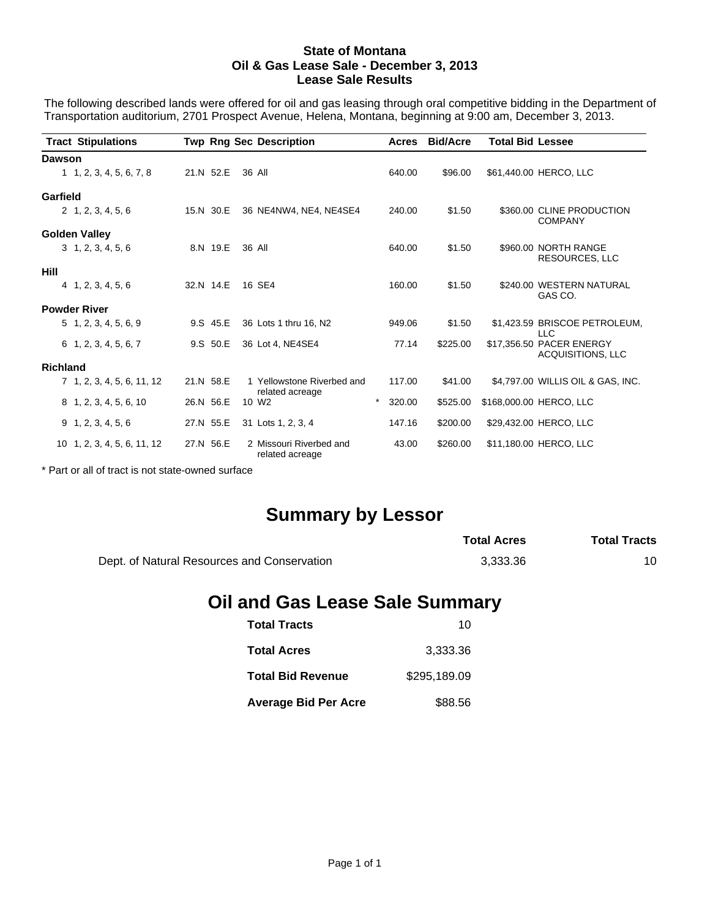## **State of Montana Oil & Gas Lease Sale - December 3, 2013 Lease Sale Results**

The following described lands were offered for oil and gas leasing through oral competitive bidding in the Department of Transportation auditorium, 2701 Prospect Avenue, Helena, Montana, beginning at 9:00 am, December 3, 2013.

| <b>Tract Stipulations</b>    |           |        | <b>Twp Rng Sec Description</b>                |         | Acres  | <b>Bid/Acre</b> | <b>Total Bid Lessee</b> |                                               |
|------------------------------|-----------|--------|-----------------------------------------------|---------|--------|-----------------|-------------------------|-----------------------------------------------|
| <b>Dawson</b>                |           |        |                                               |         |        |                 |                         |                                               |
| 1, 2, 3, 4, 5, 6, 7, 8       | 21.N 52.E | 36 All |                                               |         | 640.00 | \$96.00         |                         | \$61,440.00 HERCO, LLC                        |
| Garfield                     |           |        |                                               |         |        |                 |                         |                                               |
| 2, 1, 2, 3, 4, 5, 6          | 15.N 30.E |        | 36 NE4NW4, NE4, NE4SE4                        |         | 240.00 | \$1.50          |                         | \$360.00 CLINE PRODUCTION<br><b>COMPANY</b>   |
| <b>Golden Valley</b>         |           |        |                                               |         |        |                 |                         |                                               |
| 3, 1, 2, 3, 4, 5, 6          | 8.N 19.E  |        | 36 All                                        |         | 640.00 | \$1.50          |                         | \$960.00 NORTH RANGE<br><b>RESOURCES, LLC</b> |
| Hill                         |           |        |                                               |         |        |                 |                         |                                               |
| 4, 1, 2, 3, 4, 5, 6          | 32.N 14.E |        | 16 SE4                                        |         | 160.00 | \$1.50          |                         | \$240.00 WESTERN NATURAL<br>GAS CO.           |
| <b>Powder River</b>          |           |        |                                               |         |        |                 |                         |                                               |
| $5\quad 1, 2, 3, 4, 5, 6, 9$ | 9.S 45.E  |        | 36 Lots 1 thru 16, N2                         |         | 949.06 | \$1.50          |                         | \$1,423.59 BRISCOE PETROLEUM,<br><b>LLC</b>   |
| $6$ 1, 2, 3, 4, 5, 6, 7      | 9.S 50.E  |        | 36 Lot 4, NE4SE4                              |         | 77.14  | \$225.00        |                         | \$17,356.50 PACER ENERGY<br>ACQUISITIONS, LLC |
| <b>Richland</b>              |           |        |                                               |         |        |                 |                         |                                               |
| 7 1, 2, 3, 4, 5, 6, 11, 12   | 21.N 58.E |        | 1 Yellowstone Riverbed and<br>related acreage |         | 117.00 | \$41.00         |                         | \$4,797.00 WILLIS OIL & GAS, INC.             |
| 8 1, 2, 3, 4, 5, 6, 10       | 26.N 56.E |        | 10 W <sub>2</sub>                             | $\star$ | 320.00 | \$525.00        |                         | \$168,000.00 HERCO, LLC                       |
| 9, 1, 2, 3, 4, 5, 6          | 27.N 55.E |        | 31 Lots 1, 2, 3, 4                            |         | 147.16 | \$200.00        |                         | \$29,432.00 HERCO, LLC                        |
| 10 1, 2, 3, 4, 5, 6, 11, 12  | 27.N 56.E |        | 2 Missouri Riverbed and<br>related acreage    |         | 43.00  | \$260.00        |                         | \$11,180.00 HERCO, LLC                        |

\* Part or all of tract is not state-owned surface

## **Summary by Lessor**

|                                             | <b>Total Acres</b> | <b>Total Tracts</b> |
|---------------------------------------------|--------------------|---------------------|
| Dept. of Natural Resources and Conservation | 3.333.36           | 10                  |

## **Oil and Gas Lease Sale Summary**

| <b>Total Tracts</b>         | 10           |
|-----------------------------|--------------|
| <b>Total Acres</b>          | 3,333.36     |
| <b>Total Bid Revenue</b>    | \$295.189.09 |
| <b>Average Bid Per Acre</b> | \$88.56      |